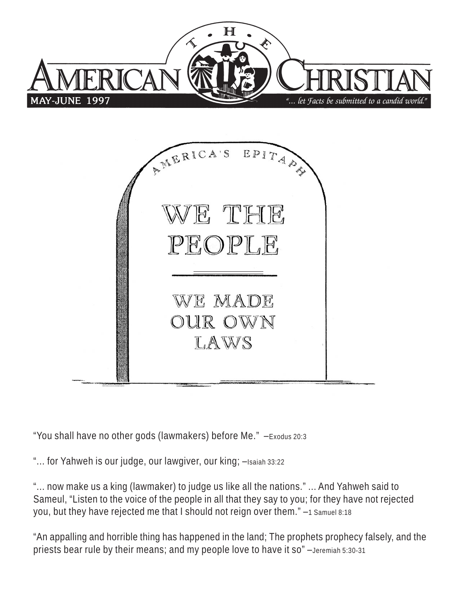



"You shall have no other gods (lawmakers) before Me." –Exodus 20:3

"... for Yahweh is our judge, our lawgiver, our king; -Isaiah 33:22

"... now make us a king (lawmaker) to judge us like all the nations." ... And Yahweh said to Sameul, "Listen to the voice of the people in all that they say to you; for they have not rejected you, but they have rejected me that I should not reign over them." –1 Samuel 8:18

"An appalling and horrible thing has happened in the land; The prophets prophecy falsely, and the priests bear rule by their means; and my people love to have it so" –Jeremiah 5:30-31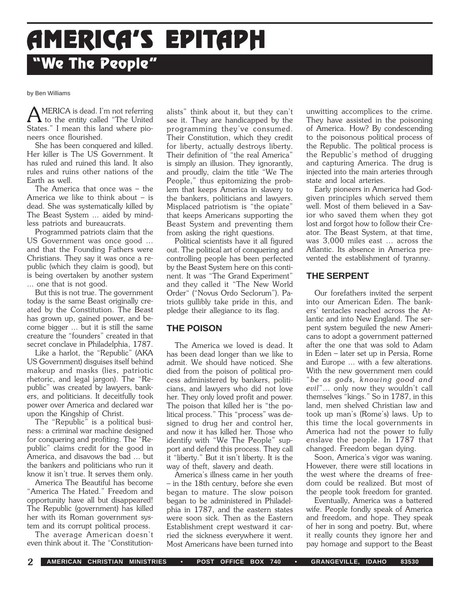# **AMERICA AMERICA'S EPIT 'S EPITAPH "We The People"**

#### by Ben Williams

AMERICA is dead. I'm not referring<br>to the entity called "The United" States." I mean this land where pioneers once flourished.

She has been conquered and killed. Her killer is The US Government. It has ruled and ruined this land. It also rules and ruins other nations of the Earth as well.

The America that once was – the America we like to think about – is dead. She was systematically killed by The Beast System ... aided by mindless patriots and bureaucrats.

Programmed patriots claim that the US Government was once good ... and that the Founding Fathers were Christians. They say it was once a republic (which they claim is good), but is being overtaken by another system ... one that is not good.

But this is not true. The government today is the same Beast originally created by the Constitution. The Beast has grown up, gained power, and become bigger ... but it is still the same creature the "founders" created in that secret conclave in Philadelphia, 1787.

Like a harlot, the "Republic" (AKA US Government) disguises itself behind makeup and masks (lies, patriotic rhetoric, and legal jargon). The "Republic" was created by lawyers, bankers, and politicians. It deceitfully took power over America and declared war upon the Kingship of Christ.

The "Republic" is a political business: a criminal war machine designed for conquering and profiting. The "Republic" claims credit for the good in America, and disavows the bad ... but the bankers and politicians who run it know it isn't true. It serves them only.

America The Beautiful has become "America The Hated." Freedom and opportunity have all but disappeared! The Republic (government) has killed her with its Roman government system and its corrupt political process.

The average American doesn't even think about it. The "Constitutionalists" think about it, but they can't see it. They are handicapped by the programming they've consumed. Their Constitution, which they credit for liberty, actually destroys liberty. Their definition of "the real America" is simply an illusion. They ignorantly, and proudly, claim the title "We The People," thus epitomizing the problem that keeps America in slavery to the bankers, politicians and lawyers. Misplaced patriotism is "the opiate" that keeps Americans supporting the Beast System and preventing them from asking the right questions.

Political scientists have it all figured out. The political art of conquering and controlling people has been perfected by the Beast System here on this continent. It was "The Grand Experiment" and they called it "The New World Order" ("Novus Ordo Seclorum"). Patriots gullibly take pride in this, and pledge their allegiance to its flag.

# **THE POISON**

The America we loved is dead. It has been dead longer than we like to admit. We should have noticed. She died from the poison of political process administered by bankers, politicians, and lawyers who did not love her. They only loved profit and power. The poison that killed her is "the political process." This "process" was designed to drug her and control her, and now it has killed her. Those who identify with "We The People" support and defend this process. They call it "liberty." But it isn't liberty. It is the way of theft, slavery and death.

America's illness came in her youth – in the 18th century, before she even began to mature. The slow poison began to be administered in Philadelphia in 1787, and the eastern states were soon sick. Then as the Eastern Establishment crept westward it carried the sickness everywhere it went. Most Americans have been turned into

unwitting accomplices to the crime. They have assisted in the poisoning of America. How? By condescending to the poisonous political process of the Republic. The political process is the Republic's method of drugging and capturing America. The drug is injected into the main arteries through state and local arteries.

Early pioneers in America had Godgiven principles which served them well. Most of them believed in a Savior who saved them when they got lost and forgot how to follow their Creator. The Beast System, at that time, was 3,000 miles east ... across the Atlantic. Its absence in America prevented the establishment of tyranny.

# **THE SERPENT**

Our forefathers invited the serpent into our American Eden. The bankers' tentacles reached across the Atlantic and into New England. The serpent system beguiled the new Americans to adopt a government patterned after the one that was sold to Adam in Eden – later set up in Persia, Rome and Europe ... with a few alterations. With the new government men could "*be as gods, knowing good and evil*"... only now they wouldn't call themselves "kings." So in 1787, in this land, men shelved Christian law and took up man's (Rome's) laws. Up to this time the local governments in America had not the power to fully enslave the people. In 1787 that changed. Freedom began dying.

Soon, America's vigor was waning. However, there were still locations in the west where the dreams of freedom could be realized. But most of the people took freedom for granted.

Eventually, America was a battered wife. People fondly speak of America and freedom, and hope. They speak of her in song and poetry. But, where it really counts they ignore her and pay homage and support to the Beast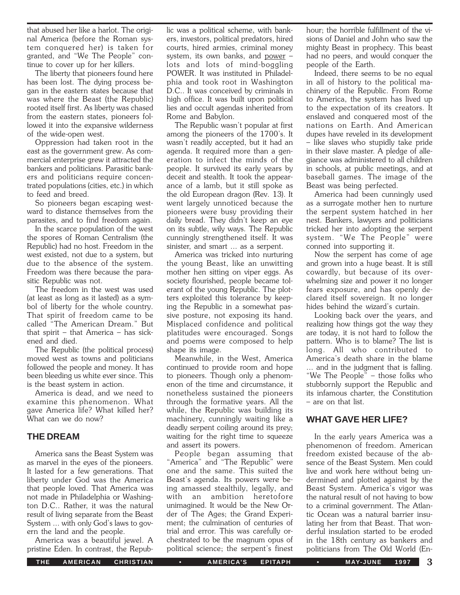that abused her like a harlot. The original America (before the Roman system conquered her) is taken for granted, and "We The People" continue to cover up for her killers.

The liberty that pioneers found here has been lost. The dying process began in the eastern states because that was where the Beast (the Republic) rooted itself first. As liberty was chased from the eastern states, pioneers followed it into the expansive wilderness of the wide-open west.

Oppression had taken root in the east as the government grew. As commercial enterprise grew it attracted the bankers and politicians. Parasitic bankers and politicians require concentrated populations (cities, etc.) in which to feed and breed.

So pioneers began escaping westward to distance themselves from the parasites, and to find freedom again.

In the scarce population of the west the spores of Roman Centralism (the Republic) had no host. Freedom in the west existed, not due to a system, but due to the absence of the system. Freedom was there because the parasitic Republic was not.

The freedom in the west was used (at least as long as it lasted) as a symbol of liberty for the whole country. That spirit of freedom came to be called "The American Dream." But that spirit – that America – has sickened and died.

The Republic (the political process) moved west as towns and politicians followed the people and money. It has been bleeding us white ever since. This is the beast system in action.

America is dead, and we need to examine this phenomenon. What gave America life? What killed her? What can we do now?

# **THE DREAM**

America sans the Beast System was as marvel in the eyes of the pioneers. It lasted for a few generations. That liberty under God was the America that people loved. That America was not made in Philadelphia or Washington D.C.. Rather, it was the natural result of living separate from the Beast System ... with only God's laws to govern the land and the people.

America was a beautiful jewel. A pristine Eden. In contrast, the Repub-

lic was a political scheme, with bankers, investors, political predators, hired courts, hired armies, criminal money system, its own banks, and power – lots and lots of mind-boggling POWER. It was instituted in Philadelphia and took root in Washington D.C.. It was conceived by criminals in high office. It was built upon political lies and occult agendas inherited from Rome and Babylon.

The Republic wasn't popular at first among the pioneers of the 1700's. It wasn't readily accepted, but it had an agenda. It required more than a generation to infect the minds of the people. It survived its early years by deceit and stealth. It took the appearance of a lamb, but it still spoke as the old European dragon (Rev. 13). It went largely unnoticed because the pioneers were busy providing their daily bread. They didn't keep an eye on its subtle, wily ways. The Republic cunningly strengthened itself. It was sinister, and smart ... as a serpent.

America was tricked into nurturing the young Beast, like an unwitting mother hen sitting on viper eggs. As society flourished, people became tolerant of the young Republic. The plotters exploited this tolerance by keeping the Republic in a somewhat passive posture, not exposing its hand. Misplaced confidence and political platitudes were encouraged. Songs and poems were composed to help shape its image.

Meanwhile, in the West, America continued to provide room and hope to pioneers. Though only a phenomenon of the time and circumstance, it nonetheless sustained the pioneers through the formative years. All the while, the Republic was building its machinery, cunningly waiting like a deadly serpent coiling around its prey; waiting for the right time to squeeze and assert its powers.

People began assuming that "America" and "The Republic" were one and the same. This suited the Beast's agenda. Its powers were being amassed stealthily, legally, and with an ambition heretofore unimagined. It would be the New Order of The Ages; the Grand Experiment; the culmination of centuries of trial and error. This was carefully orchestrated to be the magnum opus of political science; the serpent's finest

hour; the horrible fulfillment of the visions of Daniel and John who saw the mighty Beast in prophecy. This beast had no peers, and would conquer the people of the Earth.

Indeed, there seems to be no equal in all of history to the political machinery of the Republic. From Rome to America, the system has lived up to the expectation of its creators. It enslaved and conquered most of the nations on Earth. And American dupes have reveled in its development – like slaves who stupidly take pride in their slave master. A pledge of allegiance was administered to all children in schools, at public meetings, and at baseball games. The image of the Beast was being perfected.

America had been cunningly used as a surrogate mother hen to nurture the serpent system hatched in her nest. Bankers, lawyers and politicians tricked her into adopting the serpent system. "We The People" were conned into supporting it.

Now the serpent has come of age and grown into a huge beast. It is still cowardly, but because of its overwhelming size and power it no longer fears exposure, and has openly declared itself sovereign. It no longer hides behind the wizard's curtain.

Looking back over the years, and realizing how things got the way they are today, it is not hard to follow the pattern. Who is to blame? The list is long. All who contributed to America's death share in the blame ... and in the judgment that is falling. "We The People" – those folks who stubbornly support the Republic and its infamous charter, the Constitution – are on that list.

# **WHAT GAVE HER LIFE?**

In the early years America was a phenomenon of freedom. American freedom existed because of the absence of the Beast System. Men could live and work here without being undermined and plotted against by the Beast System. America's vigor was the natural result of not having to bow to a criminal government. The Atlantic Ocean was a natural barrier insulating her from that Beast. That wonderful insulation started to be eroded in the 18th century as bankers and politicians from The Old World (En-

THE AMERICAN CHRISTIAN • AMERICA'S EPITAPH • MAY-JUNE 1997 3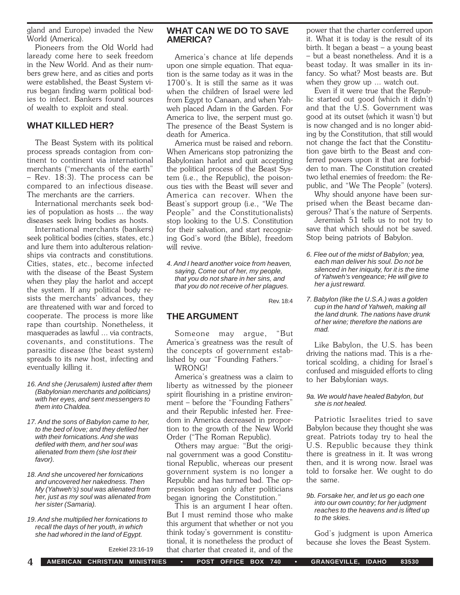gland and Europe) invaded the New World (America).

Pioneers from the Old World had laready come here to seek freedom in the New World. And as their numbers grew here, and as cities and ports were established, the Beast System virus began finding warm political bodies to infect. Bankers found sources of wealth to exploit and steal.

# **WHAT KILLED HER?**

The Beast System with its political process spreads contagion from continent to continent via international merchants ("merchants of the earth" – Rev. 18:3). The process can be compared to an infectious disease. The merchants are the carriers.

International merchants seek bodies of population as hosts ... the way diseases seek living bodies as hosts.

International merchants (bankers) seek political bodies (cities, states, etc.) and lure them into adulterous relationships via contracts and constitutions. Cities, states, etc., become infected with the disease of the Beast System when they play the harlot and accept the system. If any political body resists the merchants' advances, they are threatened with war and forced to cooperate. The process is more like rape than courtship. Nonetheless, it masquerades as lawful ... via contracts, covenants, and constitutions. The parasitic disease (the beast system) spreads to its new host, infecting and eventually killing it.

- *16. And she (Jerusalem) lusted after them (Babylonian merchants and politicians) with her eyes, and sent messengers to them into Chaldea.*
- *17. And the sons of Babylon came to her, to the bed of love; and they defiled her with their fornications. And she was defiled with them, and her soul was alienated from them (she lost their favor).*
- *18. And she uncovered her fornications and uncovered her nakedness. Then My (Yahweh's) soul was alienated from her, just as my soul was alienated from her sister (Samaria).*
- *19. And she multiplied her fornications to recall the days of her youth, in which she had whored in the land of Egypt.*

Ezekiel 23:16-19

# **WHAT CAN WE DO TO SAVE AMERICA?**

America's chance at life depends upon one simple equation. That equation is the same today as it was in the 1700's. It is still the same as it was when the children of Israel were led from Egypt to Canaan, and when Yahweh placed Adam in the Garden. For America to live, the serpent must go. The presence of the Beast System is death for America.

America must be raised and reborn. When Americans stop patronizing the Babylonian harlot and quit accepting the political process of the Beast System (i.e., the Republic), the poisonous ties with the Beast will sever and America can recover. When the Beast's support group (i.e., "We The People" and the Constitutionalists) stop looking to the U.S. Constitution for their salvation, and start recognizing God's word (the Bible), freedom will revive.

*4. And I heard another voice from heaven, saying, Come out of her, my people, that you do not share in her sins, and that you do not receive of her plagues.*

Rev. 18:4

# **THE ARGUMENT**

Someone may argue, "But America's greatness was the result of the concepts of government established by our "Founding Fathers." WRONG!

America's greatness was a claim to liberty as witnessed by the pioneer spirit flourishing in a pristine environment – before the "Founding Fathers" and their Republic infested her. Freedom in America decreased in proportion to the growth of the New World Order ("The Roman Republic).

Others may argue: "But the original government was a good Constitutional Republic, whereas our present government system is no longer a Republic and has turned bad. The oppression began only after politicians began ignoring the Constitution."

This is an argument I hear often. But I must remind those who make this argument that whether or not you think today's government is constitutional, it is nonetheless the product of that charter that created it, and of the

power that the charter conferred upon it. What it is today is the result of its birth. It began a beast – a young beast – but a beast nonetheless. And it is a beast today. It was smaller in its infancy. So what? Most beasts are. But when they grow up ... watch out.

Even if it were true that the Republic started out good (which it didn't) and that the U.S. Government was good at its outset (which it wasn't) but is now changed and is no longer abiding by the Constitution, that still would not change the fact that the Constitution gave birth to the Beast and conferred powers upon it that are forbidden to man. The Constitution created two lethal enemies of freedom: the Republic, and "We The People" (voters).

Why should anyone have been surprised when the Beast became dangerous? That's the nature of Serpents.

Jeremiah 51 tells us to not try to save that which should not be saved. Stop being patriots of Babylon.

- *6. Flee out of the midst of Babylon; yea, each man deliver his soul. Do not be silenced in her iniquity, for it is the time of Yahweh's vengeance; He will give to her a just reward.*
- *7. Babylon (like the U.S.A.) was a golden cup in the hand of Yahweh, making all the land drunk. The nations have drunk of her wine; therefore the nations are mad.*

Like Babylon, the U.S. has been driving the nations mad. This is a rhetorical scolding, a chiding for Israel's confused and misguided efforts to cling to her Babylonian ways.

#### *9a. We would have healed Babylon, but she is not healed.*

Patriotic Israelites tried to save Babylon because they thought she was great. Patriots today try to heal the U.S. Republic because they think there is greatness in it. It was wrong then, and it is wrong now. Israel was told to forsake her. We ought to do the same.

#### *9b. Forsake her, and let us go each one into our own country; for her judgment reaches to the heavens and is lifted up to the skies.*

God's judgment is upon America because she loves the Beast System.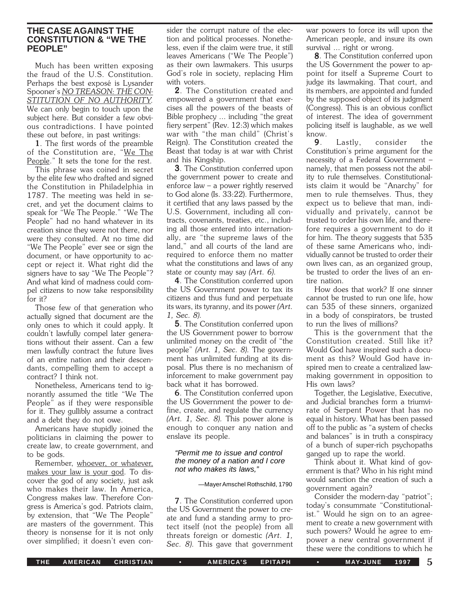# **THE CASE AGAINST THE CONSTITUTION & "WE THE PEOPLE"**

Much has been written exposing the fraud of the U.S. Constitution. Perhaps the best exposé is Lysander Spooner's *NO TREASON: THE CON-STITUTION OF NO AUTHORITY.* We can only begin to touch upon the subject here. But consider a few obvious contradictions. I have pointed these out before, in past writings:

1. The first words of the preamble of the Constitution are, "We The People." It sets the tone for the rest.

This phrase was coined in secret by the elite few who drafted and signed the Constitution in Philadelphia in 1787. The meeting was held in secret, and yet the document claims to speak for "We The People." "We The People" had no hand whatever in its creation since they were not there, nor were they consulted. At no time did "We The People" ever see or sign the document, or have opportunity to accept or reject it. What right did the signers have to say "We The People"? And what kind of madness could compel citizens to now take responsibility for it?

Those few of that generation who actually signed that document are the only ones to which it could apply. It couldn't lawfully compel later generations without their assent. Can a few men lawfully contract the future lives of an entire nation and their descendants, compelling them to accept a contract? I think not.

Nonetheless, Americans tend to ignorantly assumed the title "We The People" as if they were responsible for it. They gullibly assume a contract and a debt they do not owe.

Americans have stupidly joined the politicians in claiming the power to create law, to create government, and to be gods.

Remember, whoever, or whatever, makes your law is your god. To discover the god of any society, just ask who makes their law. In America, Congress makes law. Therefore Congress is America's god. Patriots claim, by extension, that "We The People" are masters of the government. This theory is nonsense for it is not only over simplified; it doesn't even con-

sider the corrupt nature of the election and political processes. Nonetheless, even if the claim were true, it still leaves Americans ("We The People") as their own lawmakers. This usurps God's role in society, replacing Him with voters.

2. The Constitution created and empowered a government that exercises all the powers of the beasts of Bible prophecy ... including "the great fiery serpent" (Rev. 12:3) which makes war with "the man child" (Christ's Reign). The Constitution created the Beast that today is at war with Christ and his Kingship.

**3**. The Constitution conferred upon the government power to create and enforce law – a power rightly reserved to God alone (Is. 33:22). Furthermore, it certified that any laws passed by the U.S. Government, including all contracts, covenants, treaties, etc., including all those entered into internationally, are "the supreme laws of the land," and all courts of the land are required to enforce them no matter what the constitutions and laws of any state or county may say *(Art. 6).*

4. The Constitution conferred upon the US Government power to tax its citizens and thus fund and perpetuate its wars, its tyranny, and its power *(Art. 1, Sec. 8).*

5. The Constitution conferred upon the US Government power to borrow unlimited money on the credit of "the people" *(Art. 1, Sec. 8).* The government has unlimited funding at its disposal. Plus there is no mechanism of inforcement to make government pay back what it has borrowed.

**6**. The Constitution conferred upon the US Government the power to define, create, and regulate the currency *(Art. 1, Sec. 8).* This power alone is enough to conquer any nation and enslave its people.

#### *"Permit me to issue and control the money of a nation and I core not who makes its laws,"*

#### —Mayer Amschel Rothschild, 1790

**7**. The Constitution conferred upon the US Government the power to create and fund a standing army to protect itself (not the people) from all threats foreign or domestic *(Art. 1, Sec. 8).* This gave that government war powers to force its will upon the American people, and insure its own survival ... right or wrong.

8. The Constitution conferred upon the US Government the power to appoint for itself a Supreme Court to judge its lawmaking. That court, and its members, are appointed and funded by the supposed object of its judgment (Congress). This is an obvious conflict of interest. The idea of government policing itself is laughable, as we well know.

**9**. Lastly, consider the Constitution's prime argument for the necessity of a Federal Government – namely, that men possess not the ability to rule themselves. Constitutionalists claim it would be "Anarchy" for men to rule themselves. Thus, they expect us to believe that man, individually and privately, cannot be trusted to order his own life, and therefore requires a government to do it for him. The theory suggests that 535 of these same Americans who, individually cannot be trusted to order their own lives can, as an organized group, be trusted to order the lives of an entire nation.

How does that work? If one sinner cannot be trusted to run one life, how can 535 of these sinners, organized in a body of conspirators, be trusted to run the lives of millions?

This is the government that the Constitution created. Still like it? Would God have inspired such a document as this? Would God have inspired men to create a centralized lawmaking government in opposition to His own laws?

Together, the Legislative, Executive, and Judicial branches form a triumvirate of Serpent Power that has no equal in history. What has been passed off to the public as "a system of checks and balances" is in truth a conspiracy of a bunch of super-rich psychopaths ganged up to rape the world.

Think about it. What kind of government is that? Who in his right mind would sanction the creation of such a government again?

Consider the modern-day "patriot"; today's consummate "Constitutionalist." Would he sign on to an agreement to create a new government with such powers? Would he agree to empower a new central government if these were the conditions to which he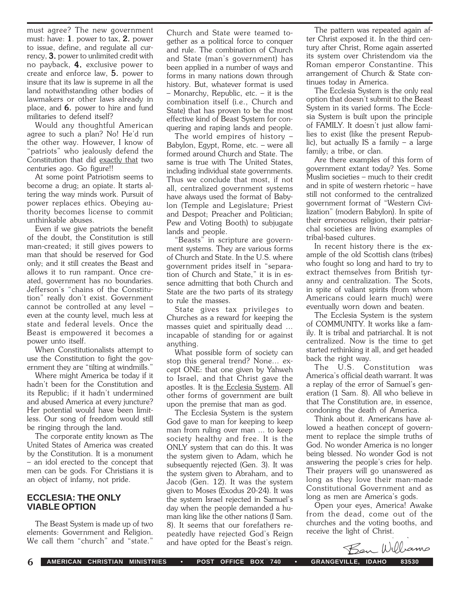must agree? The new government must: have:  $1$ . power to tax,  $2$ . power to issue, define, and regulate all currency, 3. power to unlimited credit with no payback, 4. exclusive power to create and enforce law, 5. power to insure that its law is supreme in all the land notwithstanding other bodies of lawmakers or other laws already in place, and 6. power to hire and fund militaries to defend itself?

Would any thoughtful American agree to such a plan? No! He'd run the other way. However, I know of "patriots" who jealously defend the Constitution that did exactly that two centuries ago. Go figure!!

At some point Patriotism seems to become a drug; an opiate. It starts altering the way minds work. Pursuit of power replaces ethics. Obeying authority becomes license to commit unthinkable abuses.

Even if we give patriots the benefit of the doubt, the Constitution is still man-created; it still gives powers to man that should be reserved for God only; and it still creates the Beast and allows it to run rampant. Once created, government has no boundaries. Jefferson's "chains of the Constitution" really don't exist. Government cannot be controlled at any level – even at the county level, much less at state and federal levels. Once the Beast is empowered it becomes a power unto itself.

When Constitutionalists attempt to use the Constitution to fight the government they are "tilting at windmills."

Where might America be today if it hadn't been for the Constitution and its Republic; if it hadn't undermined and abused America at every juncture? Her potential would have been limitless. Our song of freedom would still be ringing through the land.

The corporate entity known as The United States of America was created by the Constitution. It is a monument – an idol erected to the concept that men can be gods. For Christians it is an object of infamy, not pride.

### **ECCLESIA: THE ONLY VIABLE OPTION**

The Beast System is made up of two elements: Government and Religion. We call them "church" and "state.'

Church and State were teamed together as a political force to conquer and rule. The combination of Church and State (man's government) has been applied in a number of ways and forms in many nations down through history. But, whatever format is used – Monarchy, Republic, etc. – it is the combination itself (i.e., Church and State) that has proven to be the most effective kind of Beast System for conquering and raping lands and people.

The world empires of history – Babylon, Egypt, Rome, etc. – were all formed around Church and State. The same is true with The United States, including individual state governments. Thus we conclude that most, if not all, centralized government systems have always used the format of Babylon (Temple and Legislature; Priest and Despot; Preacher and Politician; Pew and Voting Booth) to subjugate lands and people.

"Beasts" in scripture are government systems. They are various forms of Church and State. In the U.S. where government prides itself in "separation of Church and State," it is in essence admitting that both Church and State are the two parts of its strategy to rule the masses.

State gives tax privileges to Churches as a reward for keeping the masses quiet and spiritually dead ... incapable of standing for or against anything.

What possible form of society can stop this general trend? None... except ONE: that one given by Yahweh to Israel, and that Christ gave the apostles. It is the Ecclesia System. All other forms of government are built upon the premise that man as god.

The Ecclesia System is the system God gave to man for keeping to keep man from ruling over man ... to keep society healthy and free. It is the ONLY system that can do this. It was the system given to Adam, which he subsequently rejected (Gen. 3). It was the system given to Abraham, and to Jacob (Gen. 12). It was the system given to Moses (Exodus 20-24). It was the system Israel rejected in Samuel's day when the people demanded a human king like the other nations (I Sam. 8). It seems that our forefathers repeatedly have rejected God's Reign and have opted for the Beast's reign.

The pattern was repeated again after Christ exposed it. In the third century after Christ, Rome again asserted its system over Christendom via the Roman emperor Constantine. This arrangement of Church & State continues today in America.

The Ecclesia System is the only real option that doesn't submit to the Beast System in its varied forms. The Ecclesia System is built upon the principle of FAMILY. It doesn't just allow families to exist (like the present Republic), but actually IS a family – a large family; a tribe, or clan.

Are there examples of this form of government extant today? Yes. Some Muslim societies – much to their credit and in spite of western rhetoric – have still not conformed to the centralized government format of "Western Civilization" (modern Babylon). In spite of their erroneous religion, their patriarchal societies are living examples of tribal-based cultures.

In recent history there is the example of the old Scottish clans (tribes) who fought so long and hard to try to extract themselves from British tyranny and centralization. The Scots, in spite of valiant spirits (from whom Americans could learn much) were eventually worn down and beaten.

The Ecclesia System is the system of COMMUNITY. It works like a family. It is tribal and patriarchal. It is not centralized. Now is the time to get started rethinking it all, and get headed back the right way.

The U.S. Constitution was America's official death warrant. It was a replay of the error of Samuel's generation (1 Sam. 8). All who believe in that The Constitution are, in essence, condoning the death of America.

Think about it. Americans have allowed a heathen concept of government to replace the simple truths of God. No wonder America is no longer being blessed. No wonder God is not answering the people's cries for help. Their prayers will go unanswered as long as they love their man-made Constitutional Government and as long as men are America's gods.

Open your eyes, America! Awake from the dead, come out of the churches and the voting booths, and receive the light of Christ.

Ben Williams